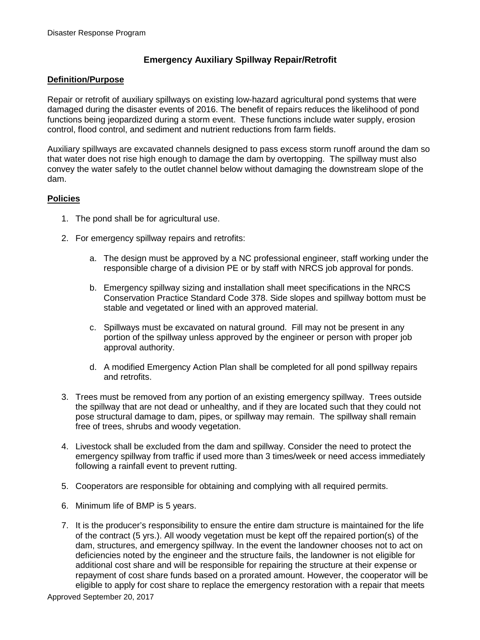## **Emergency Auxiliary Spillway Repair/Retrofit**

## **Definition/Purpose**

Repair or retrofit of auxiliary spillways on existing low-hazard agricultural pond systems that were damaged during the disaster events of 2016. The benefit of repairs reduces the likelihood of pond functions being jeopardized during a storm event. These functions include water supply, erosion control, flood control, and sediment and nutrient reductions from farm fields.

Auxiliary spillways are excavated channels designed to pass excess storm runoff around the dam so that water does not rise high enough to damage the dam by overtopping. The spillway must also convey the water safely to the outlet channel below without damaging the downstream slope of the dam.

## **Policies**

- 1. The pond shall be for agricultural use.
- 2. For emergency spillway repairs and retrofits:
	- a. The design must be approved by a NC professional engineer, staff working under the responsible charge of a division PE or by staff with NRCS job approval for ponds.
	- b. Emergency spillway sizing and installation shall meet specifications in the NRCS Conservation Practice Standard Code 378. Side slopes and spillway bottom must be stable and vegetated or lined with an approved material.
	- c. Spillways must be excavated on natural ground. Fill may not be present in any portion of the spillway unless approved by the engineer or person with proper job approval authority.
	- d. A modified Emergency Action Plan shall be completed for all pond spillway repairs and retrofits.
- 3. Trees must be removed from any portion of an existing emergency spillway. Trees outside the spillway that are not dead or unhealthy, and if they are located such that they could not pose structural damage to dam, pipes, or spillway may remain. The spillway shall remain free of trees, shrubs and woody vegetation.
- 4. Livestock shall be excluded from the dam and spillway. Consider the need to protect the emergency spillway from traffic if used more than 3 times/week or need access immediately following a rainfall event to prevent rutting.
- 5. Cooperators are responsible for obtaining and complying with all required permits.
- 6. Minimum life of BMP is 5 years.
- 7. It is the producer's responsibility to ensure the entire dam structure is maintained for the life of the contract (5 yrs.). All woody vegetation must be kept off the repaired portion(s) of the dam, structures, and emergency spillway. In the event the landowner chooses not to act on deficiencies noted by the engineer and the structure fails, the landowner is not eligible for additional cost share and will be responsible for repairing the structure at their expense or repayment of cost share funds based on a prorated amount. However, the cooperator will be eligible to apply for cost share to replace the emergency restoration with a repair that meets